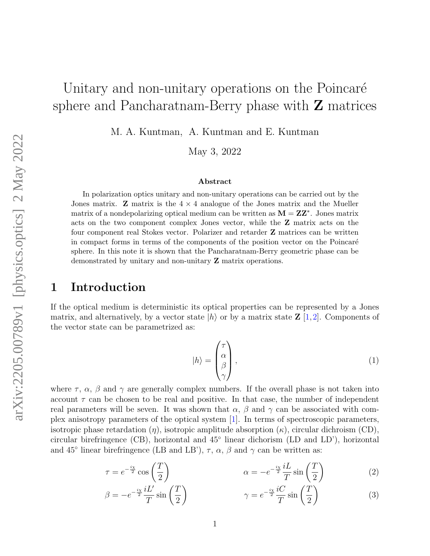# Unitary and non-unitary operations on the Poincaré sphere and Pancharatnam-Berry phase with  $Z$  matrices

M. A. Kuntman, A. Kuntman and E. Kuntman

May 3, 2022

#### Abstract

In polarization optics unitary and non-unitary operations can be carried out by the Jones matrix. **Z** matrix is the  $4 \times 4$  analogue of the Jones matrix and the Mueller matrix of a nondepolarizing optical medium can be written as  $M = ZZ^*$ . Jones matrix acts on the two component complex Jones vector, while the Z matrix acts on the four component real Stokes vector. Polarizer and retarder Z matrices can be written in compact forms in terms of the components of the position vector on the Poincaré sphere. In this note it is shown that the Pancharatnam-Berry geometric phase can be demonstrated by unitary and non-unitary Z matrix operations.

#### 1 Introduction

If the optical medium is deterministic its optical properties can be represented by a Jones matrix, and alternatively, by a vector state  $|h\rangle$  or by a matrix state  $\mathbb{Z} [1,2]$  $\mathbb{Z} [1,2]$  $\mathbb{Z} [1,2]$ . Components of the vector state can be parametrized as:

$$
|h\rangle = \begin{pmatrix} \tau \\ \alpha \\ \beta \\ \gamma \end{pmatrix}, \tag{1}
$$

where  $\tau$ ,  $\alpha$ ,  $\beta$  and  $\gamma$  are generally complex numbers. If the overall phase is not taken into account  $\tau$  can be chosen to be real and positive. In that case, the number of independent real parameters will be seven. It was shown that  $\alpha$ ,  $\beta$  and  $\gamma$  can be associated with complex anisotropy parameters of the optical system [\[1\]](#page-6-0). In terms of spectroscopic parameters, isotropic phase retardation  $(\eta)$ , isotropic amplitude absorption  $(\kappa)$ , circular dichroism (CD), circular birefringence (CB), horizontal and 45◦ linear dichorism (LD and LD'), horizontal and 45<sup>°</sup> linear birefringence (LB and LB'),  $\tau$ ,  $\alpha$ ,  $\beta$  and  $\gamma$  can be written as:

$$
\tau = e^{-\frac{i\chi}{2}} \cos\left(\frac{T}{2}\right) \qquad \alpha = -e^{-\frac{i\chi}{2}} \frac{iL}{T} \sin\left(\frac{T}{2}\right) \qquad (2)
$$

$$
\beta = -e^{-\frac{i\chi}{2}} \frac{iL'}{T} \sin\left(\frac{T}{2}\right) \qquad \gamma = e^{-\frac{i\chi}{2}} \frac{iC}{T} \sin\left(\frac{T}{2}\right) \tag{3}
$$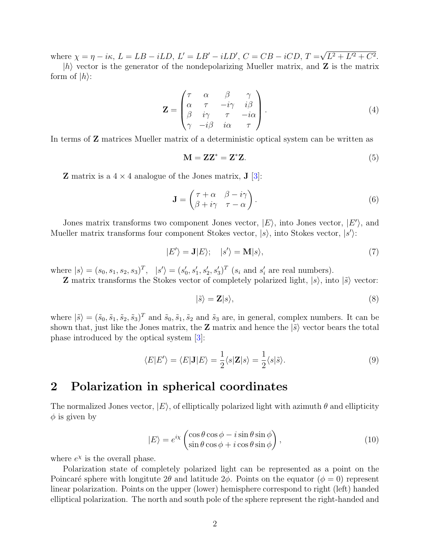where  $\chi = \eta - i\kappa$ ,  $L = LB - iLD$ ,  $L' = LB' - iLD'$ ,  $C = CB - iCD$ ,  $T =$ √  $L^2 + L^2 + C^2$ .

 $|h\rangle$  vector is the generator of the nondepolarizing Mueller matrix, and **Z** is the matrix form of  $|h\rangle$ :

$$
\mathbf{Z} = \begin{pmatrix} \tau & \alpha & \beta & \gamma \\ \alpha & \tau & -i\gamma & i\beta \\ \beta & i\gamma & \tau & -i\alpha \\ \gamma & -i\beta & i\alpha & \tau \end{pmatrix} . \tag{4}
$$

In terms of Z matrices Mueller matrix of a deterministic optical system can be written as

$$
\mathbf{M} = \mathbf{Z}\mathbf{Z}^* = \mathbf{Z}^*\mathbf{Z}.\tag{5}
$$

**Z** matrix is a  $4 \times 4$  analogue of the Jones matrix, **J** [\[3\]](#page-6-2):

$$
\mathbf{J} = \begin{pmatrix} \tau + \alpha & \beta - i\gamma \\ \beta + i\gamma & \tau - \alpha \end{pmatrix} . \tag{6}
$$

Jones matrix transforms two component Jones vector,  $|E\rangle$ , into Jones vector,  $|E'\rangle$ , and Mueller matrix transforms four component Stokes vector,  $|s\rangle$ , into Stokes vector,  $|s'\rangle$ :

$$
|E'\rangle = \mathbf{J}|E\rangle; \quad |s'\rangle = \mathbf{M}|s\rangle,\tag{7}
$$

where  $|s\rangle = (s_0, s_1, s_2, s_3)^T$ ,  $|s'\rangle = (s'_0, s'_1, s'_2, s'_3)^T$   $(s_i \text{ and } s'_i \text{ are real numbers}).$ 

**Z** matrix transforms the Stokes vector of completely polarized light,  $|s\rangle$ , into  $|\tilde{s}\rangle$  vector:

$$
|\tilde{s}\rangle = \mathbf{Z}|s\rangle,\tag{8}
$$

where  $|\tilde{s}\rangle = (\tilde{s}_0, \tilde{s}_1, \tilde{s}_2, \tilde{s}_3)^T$  and  $\tilde{s}_0, \tilde{s}_1, \tilde{s}_2$  and  $\tilde{s}_3$  are, in general, complex numbers. It can be shown that, just like the Jones matrix, the **Z** matrix and hence the  $|\tilde{s}\rangle$  vector bears the total phase introduced by the optical system [\[3\]](#page-6-2):

$$
\langle E|E'\rangle = \langle E|\mathbf{J}|E\rangle = \frac{1}{2}\langle s|\mathbf{Z}|s\rangle = \frac{1}{2}\langle s|\tilde{s}\rangle.
$$
 (9)

### 2 Polarization in spherical coordinates

The normalized Jones vector,  $|E\rangle$ , of elliptically polarized light with azimuth  $\theta$  and ellipticity  $\phi$  is given by

<span id="page-1-0"></span>
$$
|E\rangle = e^{i\chi} \begin{pmatrix} \cos\theta\cos\phi - i\sin\theta\sin\phi \\ \sin\theta\cos\phi + i\cos\theta\sin\phi \end{pmatrix},
$$
 (10)

where  $e^{\chi}$  is the overall phase.

Polarization state of completely polarized light can be represented as a point on the Poincaré sphere with longitute  $2\theta$  and latitude  $2\phi$ . Points on the equator ( $\phi = 0$ ) represent linear polarization. Points on the upper (lower) hemisphere correspond to right (left) handed elliptical polarization. The north and south pole of the sphere represent the right-handed and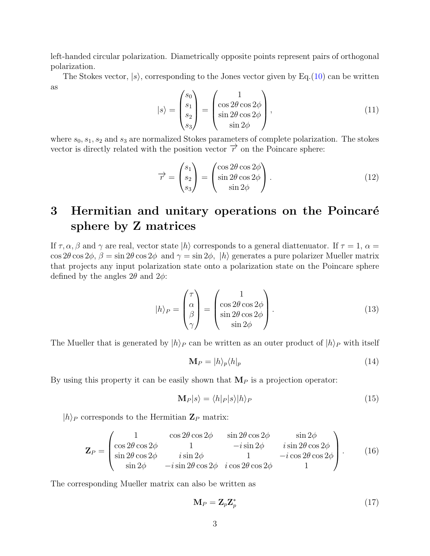left-handed circular polarization. Diametrically opposite points represent pairs of orthogonal polarization.

The Stokes vector,  $|s\rangle$ , corresponding to the Jones vector given by Eq. [\(10\)](#page-1-0) can be written as

$$
|s\rangle = \begin{pmatrix} s_0 \\ s_1 \\ s_2 \\ s_3 \end{pmatrix} = \begin{pmatrix} 1 \\ \cos 2\theta \cos 2\phi \\ \sin 2\theta \cos 2\phi \\ \sin 2\phi \end{pmatrix},
$$
(11)

where  $s_0, s_1, s_2$  and  $s_3$  are normalized Stokes parameters of complete polarization. The stokes vector is directly related with the position vector  $\vec{r}$  on the Poincare sphere:

<span id="page-2-0"></span>
$$
\overrightarrow{r} = \begin{pmatrix} s_1 \\ s_2 \\ s_3 \end{pmatrix} = \begin{pmatrix} \cos 2\theta \cos 2\phi \\ \sin 2\theta \cos 2\phi \\ \sin 2\phi \end{pmatrix} . \tag{12}
$$

## 3 Hermitian and unitary operations on the Poincaré sphere by Z matrices

If  $\tau, \alpha, \beta$  and  $\gamma$  are real, vector state  $|h\rangle$  corresponds to a general diattenuator. If  $\tau = 1$ ,  $\alpha =$  $\cos 2\theta \cos 2\phi$ ,  $\beta = \sin 2\theta \cos 2\phi$  and  $\gamma = \sin 2\phi$ ,  $|h\rangle$  generates a pure polarizer Mueller matrix that projects any input polarization state onto a polarization state on the Poincare sphere defined by the angles  $2\theta$  and  $2\phi$ :

$$
|h\rangle_P = \begin{pmatrix} \tau \\ \alpha \\ \beta \\ \gamma \end{pmatrix} = \begin{pmatrix} 1 \\ \cos 2\theta \cos 2\phi \\ \sin 2\theta \cos 2\phi \\ \sin 2\phi \end{pmatrix}.
$$
 (13)

The Mueller that is generated by  $|h\rangle_P$  can be written as an outer product of  $|h\rangle_P$  with itself

$$
\mathbf{M}_P = |h\rangle_p \langle h|_p \tag{14}
$$

By using this property it can be easily shown that  $M_P$  is a projection operator:

$$
\mathbf{M}_P|s\rangle = \langle h|_P|s\rangle |h\rangle_P \tag{15}
$$

 $|h\rangle_P$  corresponds to the Hermitian  $\mathbf{Z}_P$  matrix:

$$
\mathbf{Z}_{P} = \begin{pmatrix} 1 & \cos 2\theta \cos 2\phi & \sin 2\theta \cos 2\phi & \sin 2\phi \\ \cos 2\theta \cos 2\phi & 1 & -i \sin 2\phi & i \sin 2\theta \cos 2\phi \\ \sin 2\theta \cos 2\phi & i \sin 2\phi & 1 & -i \cos 2\theta \cos 2\phi \\ \sin 2\phi & -i \sin 2\theta \cos 2\phi & i \cos 2\theta \cos 2\phi & 1 \end{pmatrix}.
$$
 (16)

The corresponding Mueller matrix can also be written as

$$
\mathbf{M}_P = \mathbf{Z}_p \mathbf{Z}_p^* \tag{17}
$$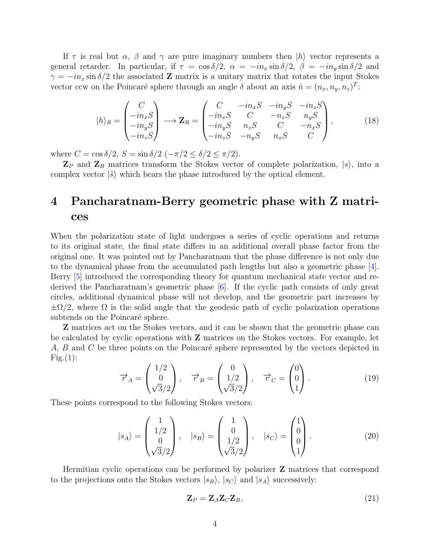If  $\tau$  is real but  $\alpha$ ,  $\beta$  and  $\gamma$  are pure imaginary numbers then  $|h\rangle$  vector represents a general retarder. In particular, if  $\tau = \cos \delta/2$ ,  $\alpha = -in_x \sin \delta/2$ ,  $\beta = -in_y \sin \delta/2$  and  $\gamma = -in_z \sin \delta/2$  the associated **Z** matrix is a unitary matrix that rotates the input Stokes vector ccw on the Poincaré sphere through an angle  $\delta$  about an axis  $\hat{n} = (n_x, n_y, n_z)^T$ :

<span id="page-3-0"></span>
$$
|h\rangle_R = \begin{pmatrix} C \\ -in_x S \\ -in_y S \\ -in_z S \end{pmatrix} \longrightarrow \mathbf{Z}_R = \begin{pmatrix} C & -in_x S & -in_y S & -in_z S \\ -in_x S & C & -n_z S & n_y S \\ -in_y S & n_z S & C & -n_x S \\ -in_z S & -n_y S & n_x S & C \end{pmatrix},
$$
(18)

where  $C = \cos \delta/2$ ,  $S = \sin \delta/2$   $(-\pi/2 \le \delta/2 \le \pi/2)$ .

 $\mathbf{Z}_P$  and  $\mathbf{Z}_R$  matrices transform the Stokes vector of complete polarization,  $|s\rangle$ , into a complex vector  $|\tilde{s}\rangle$  which bears the phase introduced by the optical element.

### 4 Pancharatnam-Berry geometric phase with Z matrices

When the polarization state of light undergoes a series of cyclic operations and returns to its original state, the final state differs in an additional overall phase factor from the original one. It was pointed out by Pancharatnam that the phase difference is not only due to the dynamical phase from the accumulated path lengths but also a geometric phase [\[4\]](#page-6-3). Berry [\[5\]](#page-6-4) introduced the corresponding theory for quantum mechanical state vector and rederived the Pancharatnam's geometric phase [\[6\]](#page-6-5). If the cyclic path consists of only great circles, additional dynamical phase will not develop, and the geometric part increases by  $\pm \Omega/2$ , where  $\Omega$  is the solid angle that the geodesic path of cyclic polarization operations subtends on the Poincaré sphere.

Z matrices act on the Stokes vectors, and it can be shown that the geometric phase can be calculated by cyclic operations with Z matrices on the Stokes vectors. For example, let A,  $B$  and  $C$  be three points on the Poincaré sphere represented by the vectors depicted in  $Fig.(1):$  $Fig.(1):$  $Fig.(1):$ 

$$
\overrightarrow{r}_A = \begin{pmatrix} 1/2 \\ 0 \\ \sqrt{3}/2 \end{pmatrix}, \quad \overrightarrow{r}_B = \begin{pmatrix} 0 \\ 1/2 \\ \sqrt{3}/2 \end{pmatrix}, \quad \overrightarrow{r}_C = \begin{pmatrix} 0 \\ 0 \\ 1 \end{pmatrix}.
$$
 (19)

These points correspond to the following Stokes vectors:

$$
|s_A\rangle = \begin{pmatrix} 1 \\ 1/2 \\ 0 \\ \sqrt{3}/2 \end{pmatrix}, \quad |s_B\rangle = \begin{pmatrix} 1 \\ 0 \\ 1/2 \\ \sqrt{3}/2 \end{pmatrix}, \quad |s_C\rangle = \begin{pmatrix} 1 \\ 0 \\ 0 \\ 1 \end{pmatrix}.
$$
 (20)

Hermitian cyclic operations can be performed by polarizer Z matrices that correspond to the projections onto the Stokes vectors  $|s_B\rangle$ ,  $|s_C\rangle$  and  $|s_A\rangle$  successively:

$$
\mathbf{Z}_P = \mathbf{Z}_A \mathbf{Z}_C \mathbf{Z}_B,\tag{21}
$$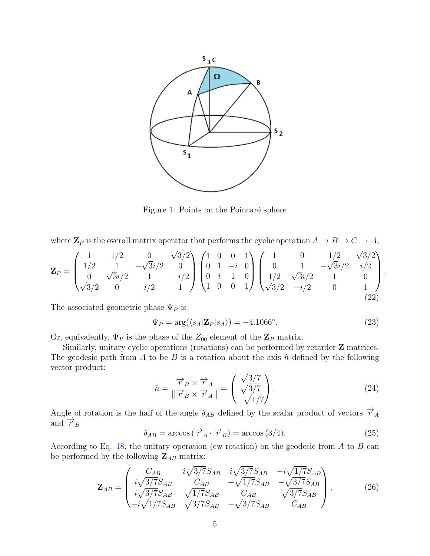

<span id="page-4-0"></span>Figure 1: Points on the Poincaré sphere

where  $\mathbf{Z}_P$  is the overall matrix operator that performs the cyclic operation  $A \to B \to C \to A$ ,

$$
\mathbf{Z}_{P} = \begin{pmatrix} 1 & 1/2 & 0 & \sqrt{3}/2 \\ 1/2 & 1 & -\sqrt{3}i/2 & 0 \\ 0 & \sqrt{3}i/2 & 1 & -i/2 \\ \sqrt{3}/2 & 0 & i/2 & 1 \end{pmatrix} \begin{pmatrix} 1 & 0 & 0 & 1 \\ 0 & 1 & -i & 0 \\ 0 & i & 1 & 0 \\ 1 & 0 & 0 & 1 \end{pmatrix} \begin{pmatrix} 1 & 0 & 1/2 & \sqrt{3}/2 \\ 0 & 1 & -\sqrt{3}i/2 & i/2 \\ 1/2 & \sqrt{3}i/2 & 1 & 0 \\ \sqrt{3}/2 & -i/2 & 0 & 1 \end{pmatrix}.
$$
\n(22)

The associated geometric phase  $\Psi_P$  is

$$
\Psi_P = \arg(\langle s_A | \mathbf{Z}_P | s_A \rangle) = -4.1066^\circ. \tag{23}
$$

Or, equivalently,  $\Psi_P$  is the phase of the  $Z_{00}$  element of the  $\mathbf{Z}_P$  matrix.

Similarly, unitary cyclic operations (rotations) can be performed by retarder **Z** matrices. The geodesic path from A to be B is a rotation about the axis  $\hat{n}$  defined by the following vector product:

$$
\hat{n} = \frac{\overrightarrow{r}_B \times \overrightarrow{r}_A}{||\overrightarrow{r}_B \times \overrightarrow{r}_A||} = \begin{pmatrix} \sqrt{3/7} \\ \sqrt{3/7} \\ -\sqrt{1/7} \end{pmatrix} . \tag{24}
$$

Angle of rotation is the half of the angle  $\delta_{AB}$  defined by the scalar product of vectors  $\overrightarrow{r}_A$ and  $\overrightarrow{r}_B$ 

$$
\delta_{AB} = \arccos(\overrightarrow{r}_A \cdot \overrightarrow{r}_B) = \arccos(3/4). \tag{25}
$$

According to Eq. [18,](#page-3-0) the unitary operation (cw rotation) on the geodesic from A to B can be performed by the following  $\mathbf{Z}_{AB}$  matrix:

$$
\mathbf{Z}_{AB} = \begin{pmatrix} C_{AB} & i\sqrt{3/7}S_{AB} & i\sqrt{3/7}S_{AB} & -i\sqrt{1/7}S_{AB} \\ i\sqrt{3/7}S_{AB} & C_{AB} & -\sqrt{1/7}S_{AB} & -\sqrt{3/7}S_{AB} \\ i\sqrt{3/7}S_{AB} & \sqrt{1/7}S_{AB} & C_{AB} & \sqrt{3/7}S_{AB} \\ -i\sqrt{1/7}S_{AB} & \sqrt{3/7}S_{AB} & -\sqrt{3/7}S_{AB} & C_{AB} \end{pmatrix},
$$
(26)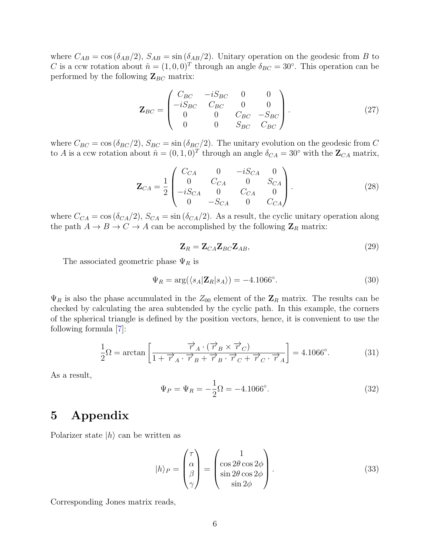where  $C_{AB} = \cos(\delta_{AB}/2)$ ,  $S_{AB} = \sin(\delta_{AB}/2)$ . Unitary operation on the geodesic from B to C is a ccw rotation about  $\hat{n} = (1, 0, 0)^T$  through an angle  $\delta_{BC} = 30^{\circ}$ . This operation can be performed by the following  $\mathbf{Z}_{BC}$  matrix:

$$
\mathbf{Z}_{BC} = \begin{pmatrix} C_{BC} & -iS_{BC} & 0 & 0 \\ -iS_{BC} & C_{BC} & 0 & 0 \\ 0 & 0 & C_{BC} & -S_{BC} \\ 0 & 0 & S_{BC} & C_{BC} \end{pmatrix} . \tag{27}
$$

where  $C_{BC} = \cos(\delta_{BC}/2)$ ,  $S_{BC} = \sin(\delta_{BC}/2)$ . The unitary evolution on the geodesic from C to A is a ccw rotation about  $\hat{n} = (0, 1, 0)^T$  through an angle  $\delta_{CA} = 30^{\circ}$  with the  $\mathbb{Z}_{CA}$  matrix,

$$
\mathbf{Z}_{CA} = \frac{1}{2} \begin{pmatrix} C_{CA} & 0 & -iS_{CA} & 0 \\ 0 & C_{CA} & 0 & S_{CA} \\ -iS_{CA} & 0 & C_{CA} & 0 \\ 0 & -S_{CA} & 0 & C_{CA} \end{pmatrix}.
$$
 (28)

where  $C_{CA} = \cos (\delta_{CA}/2)$ ,  $S_{CA} = \sin (\delta_{CA}/2)$ . As a result, the cyclic unitary operation along the path  $A \to B \to C \to A$  can be accomplished by the following  $\mathbb{Z}_R$  matrix:

$$
\mathbf{Z}_R = \mathbf{Z}_{CA}\mathbf{Z}_{BC}\mathbf{Z}_{AB},\tag{29}
$$

The associated geometric phase  $\Psi_R$  is

$$
\Psi_R = \arg(\langle s_A | \mathbf{Z}_R | s_A \rangle) = -4.1066^\circ. \tag{30}
$$

 $\Psi_R$  is also the phase accumulated in the  $Z_{00}$  element of the  $\mathbb{Z}_R$  matrix. The results can be checked by calculating the area subtended by the cyclic path. In this example, the corners of the spherical triangle is defined by the position vectors, hence, it is convenient to use the following formula [\[7\]](#page-6-6):

$$
\frac{1}{2}\Omega = \arctan\left[\frac{\overrightarrow{r}_A \cdot (\overrightarrow{r}_B \times \overrightarrow{r}_C)}{1 + \overrightarrow{r}_A \cdot \overrightarrow{r}_B + \overrightarrow{r}_B \cdot \overrightarrow{r}_C + \overrightarrow{r}_C \cdot \overrightarrow{r}_A}\right] = 4.1066^\circ.
$$
 (31)

As a result,

$$
\Psi_P = \Psi_R = -\frac{1}{2}\Omega = -4.1066^\circ. \tag{32}
$$

### 5 Appendix

Polarizer state  $|h\rangle$  can be written as

$$
|h\rangle_P = \begin{pmatrix} \tau \\ \alpha \\ \beta \\ \gamma \end{pmatrix} = \begin{pmatrix} 1 \\ \cos 2\theta \cos 2\phi \\ \sin 2\theta \cos 2\phi \\ \sin 2\phi \end{pmatrix}.
$$
 (33)

Corresponding Jones matrix reads,